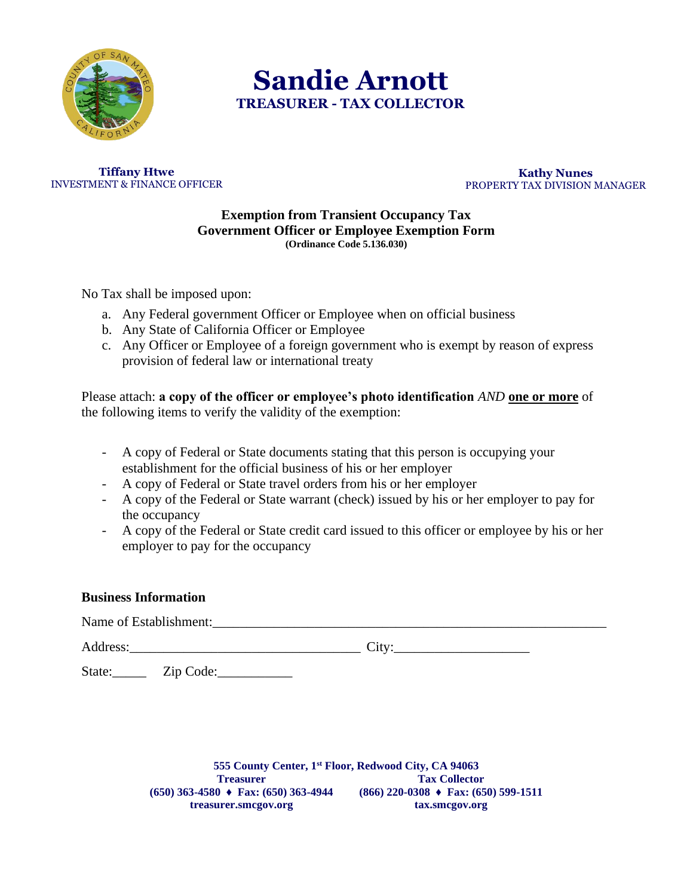

 **Sandie Arnott TREASURER - TAX COLLECTOR**

**Tiffany Htwe** INVESTMENT & FINANCE OFFICER

**Kathy Nunes** PROPERTY TAX DIVISION MANAGER

## **Exemption from Transient Occupancy Tax Government Officer or Employee Exemption Form (Ordinance Code 5.136.030)**

No Tax shall be imposed upon:

- a. Any Federal government Officer or Employee when on official business
- b. Any State of California Officer or Employee
- c. Any Officer or Employee of a foreign government who is exempt by reason of express provision of federal law or international treaty

Please attach: **a copy of the officer or employee's photo identification** *AND* **one or more** of the following items to verify the validity of the exemption:

- A copy of Federal or State documents stating that this person is occupying your establishment for the official business of his or her employer
- A copy of Federal or State travel orders from his or her employer
- A copy of the Federal or State warrant (check) issued by his or her employer to pay for the occupancy
- A copy of the Federal or State credit card issued to this officer or employee by his or her employer to pay for the occupancy

## **Business Information**

Name of Establishment:

Address: City:

State:\_\_\_\_\_\_\_ Zip Code:\_\_\_\_\_\_\_\_\_\_\_\_\_

**555 County Center, 1st Floor, Redwood City, CA 94063 Treasurer (650) 363-4580 ♦ Fax: (650) 363-4944 treasurer.smcgov.org Tax Collector (866) 220-0308 ♦ Fax: (650) 599-1511 tax.smcgov.org**